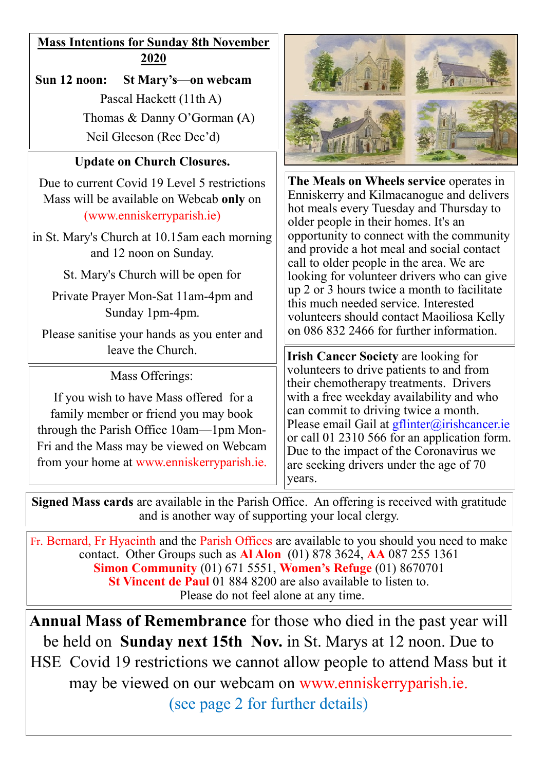## **Mass Intentions for Sunday 8th November 2020**

**Sun 12 noon: St Mary's—on webcam** Pascal Hackett (11th A) Thomas & Danny O'Gorman **(**A) Neil Gleeson (Rec Dec'd)

### **Update on Church Closures.**

Due to current Covid 19 Level 5 restrictions Mass will be available on Webcab **only** on (www.enniskerryparish.ie)

in St. Mary's Church at 10.15am each morning and 12 noon on Sunday.

St. Mary's Church will be open for

Private Prayer Mon-Sat 11am-4pm and Sunday 1pm-4pm.

Please sanitise your hands as you enter and

Mass Offerings:

If you wish to have Mass offered for a family member or friend you may book through the Parish Office 10am—1pm Mon-Fri and the Mass may be viewed on Webcam from your home at www.enniskerryparish.ie.



**The Meals on Wheels service** operates in Enniskerry and Kilmacanogue and delivers hot meals every Tuesday and Thursday to older people in their homes. It's an opportunity to connect with the community and provide a hot meal and social contact call to older people in the area. We are looking for volunteer drivers who can give up 2 or 3 hours twice a month to facilitate this much needed service. Interested volunteers should contact Maoiliosa Kelly on 086 832 2466 for further information.

leave the Church. **IFILITE:** ITE: **IFILITE:** ITE: **IFILITE:** ITE: **IFILITE:** ITE: **IFILITE:** ITE: **IFILITE:** ITE: **IFILITE:** ITE: **IFILITE:** ITE: **IFILITE:** ITE: **IFILITE:** ITE: **IFILITE:** ITE: **IFILITE:** ITE: **IFILITE:** I volunteers to drive patients to and from their chemotherapy treatments. Drivers with a free weekday availability and who can commit to driving twice a month. Please email Gail at [gflinter@irishcancer.ie](mailto:gflinter@irishcancer.ie) or call 01 2310 566 for an application form. Due to the impact of the Coronavirus we are seeking drivers under the age of 70 years.

**Signed Mass cards** are available in the Parish Office. An offering is received with gratitude and is another way of supporting your local clergy.

Fr. Bernard, Fr Hyacinth and the Parish Offices are available to you should you need to make contact. Other Groups such as **Al Alon** (01) 878 3624, **AA** 087 255 1361 **Simon Community** (01) 671 5551, **Women's Refuge** (01) 8670701 **St Vincent de Paul** 01 884 8200 are also available to listen to. Please do not feel alone at any time.

**Annual Mass of Remembrance** for those who died in the past year will be held on **Sunday next 15th Nov.** in St. Marys at 12 noon. Due to HSE Covid 19 restrictions we cannot allow people to attend Mass but it may be viewed on our webcam on www.enniskerryparish.ie.

(see page 2 for further details)